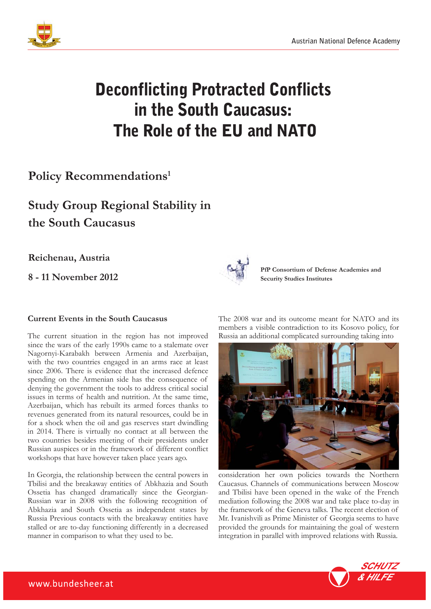

# Deconflicting Protracted Conflicts in the South Caucasus: The Role of the EU and NATO

### **Policy Recommendations1**

## **Study Group Regional Stability in the South Caucasus**

**Reichenau, Austria**

**8 - 11 November 2012**

#### **Current Events in the South Caucasus**

The current situation in the region has not improved since the wars of the early 1990s came to a stalemate over Nagornyi-Karabakh between Armenia and Azerbaijan, with the two countries engaged in an arms race at least since 2006. There is evidence that the increased defence spending on the Armenian side has the consequence of denying the government the tools to address critical social issues in terms of health and nutrition. At the same time, Azerbaijan, which has rebuilt its armed forces thanks to revenues generated from its natural resources, could be in for a shock when the oil and gas reserves start dwindling in 2014. There is virtually no contact at all between the two countries besides meeting of their presidents under Russian auspices or in the framework of different conflict workshops that have however taken place years ago.

In Georgia, the relationship between the central powers in Tbilisi and the breakaway entities of Abkhazia and South Ossetia has changed dramatically since the Georgian-Russian war in 2008 with the following recognition of Abkhazia and South Ossetia as independent states by Russia Previous contacts with the breakaway entities have stalled or are to-day functioning differently in a decreased manner in comparison to what they used to be.



**PfP Consortium of Defense Academies and Security Studies Institutes**

The 2008 war and its outcome meant for NATO and its members a visible contradiction to its Kosovo policy, for Russia an additional complicated surrounding taking into



consideration her own policies towards the Northern Caucasus. Channels of communications between Moscow and Tbilisi have been opened in the wake of the French mediation following the 2008 war and take place to-day in the framework of the Geneva talks. The recent election of Mr. Ivanishvili as Prime Minister of Georgia seems to have provided the grounds for maintaining the goal of western integration in parallel with improved relations with Russia.

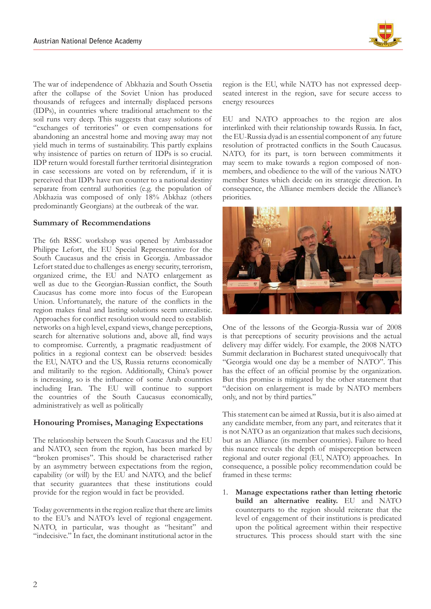

The war of independence of Abkhazia and South Ossetia after the collapse of the Soviet Union has produced thousands of refugees and internally displaced persons (IDPs), in countries where traditional attachment to the soil runs very deep. This suggests that easy solutions of "exchanges of territories" or even compensations for abandoning an ancestral home and moving away may not yield much in terms of sustainability. This partly explains why insistence of parties on return of IDPs is so crucial. IDP return would forestall further territorial disintegration in case secessions are voted on by referendum, if it is perceived that IDPs have run counter to a national destiny separate from central authorities (e.g. the population of Abkhazia was composed of only 18% Abkhaz (others predominantly Georgians) at the outbreak of the war.

#### **Summary of Recommendations**

The 6th RSSC workshop was opened by Ambassador Philippe Lefort, the EU Special Representative for the South Caucasus and the crisis in Georgia. Ambassador Lefort stated due to challenges as energy security, terrorism, organized crime, the EU and NATO enlargement as well as due to the Georgian-Russian conflict, the South Caucasus has come more into focus of the European Union. Unfortunately, the nature of the conflicts in the region makes final and lasting solutions seem unrealistic. Approaches for conflict resolution would need to establish networks on a high level, expand views, change perceptions, search for alternative solutions and, above all, find ways to compromise. Currently, a pragmatic readjustment of politics in a regional context can be observed: besides the EU, NATO and the US, Russia returns economically and militarily to the region. Additionally, China's power is increasing, so is the influence of some Arab countries including Iran. The EU will continue to support the countries of the South Caucasus economically, administratively as well as politically

#### **Honouring Promises, Managing Expectations**

The relationship between the South Caucasus and the EU and NATO, seen from the region, has been marked by "broken promises". This should be characterised rather by an asymmetry between expectations from the region, capability (or will) by the EU and NATO, and the belief that security guarantees that these institutions could provide for the region would in fact be provided.

Today governments in the region realize that there are limits to the EU's and NATO's level of regional engagement. NATO, in particular, was thought as "hesitant" and "indecisive." In fact, the dominant institutional actor in the

region is the EU, while NATO has not expressed deepseated interest in the region, save for secure access to energy resources

EU and NATO approaches to the region are alos interlinked with their relationship towards Russia. In fact, the EU-Russia dyad is an essential component of any future resolution of protracted conflicts in the South Caucasus. NATO, for its part, is torn between commitments it may seem to make towards a region composed of nonmembers, and obedience to the will of the various NATO member States which decide on its strategic direction. In consequence, the Alliance members decide the Alliance's priorities.



One of the lessons of the Georgia-Russia war of 2008 is that perceptions of security provisions and the actual delivery may differ widely. For example, the 2008 NATO Summit declaration in Bucharest stated unequivocally that "Georgia would one day be a member of NATO". This has the effect of an official promise by the organization. But this promise is mitigated by the other statement that "decision on enlargement is made by NATO members only, and not by third parties."

This statement can be aimed at Russia, but it is also aimed at any candidate member, from any part, and reiterates that it is not NATO as an organization that makes such decisions, but as an Alliance (its member countries). Failure to heed this nuance reveals the depth of misperception between regional and outer regional (EU, NATO) approaches. In consequence, a possible policy recommendation could be framed in these terms:

1. **Manage expectations rather than letting rhetoric build an alternative reality.** EU and NATO counterparts to the region should reiterate that the level of engagement of their institutions is predicated upon the political agreement within their respective structures. This process should start with the sine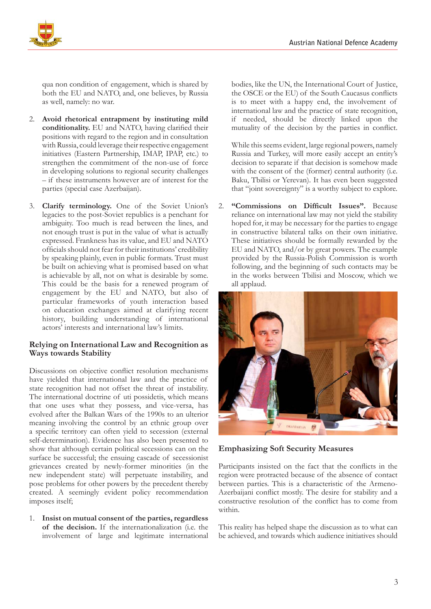

qua non condition of engagement, which is shared by both the EU and NATO, and, one believes, by Russia as well, namely: no war.

- 2. **Avoid rhetorical entrapment by instituting mild**  conditionality. EU and NATO, having clarified their positions with regard to the region and in consultation with Russia, could leverage their respective engagement initiatives (Eastern Partnership, IMAP, IPAP, etc.) to strengthen the commitment of the non-use of force in developing solutions to regional security challenges – if these instruments however are of interest for the parties (special case Azerbaijan).
- 3. **Clarify terminology.** One of the Soviet Union's legacies to the post-Soviet republics is a penchant for ambiguity. Too much is read between the lines, and not enough trust is put in the value of what is actually expressed. Frankness has its value, and EU and NATO officials should not fear for their institutions' credibility by speaking plainly, even in public formats. Trust must be built on achieving what is promised based on what is achievable by all, not on what is desirable by some. This could be the basis for a renewed program of engagement by the EU and NATO, but also of particular frameworks of youth interaction based on education exchanges aimed at clarifying recent history, building understanding of international actors' interests and international law's limits.

#### **Relying on International Law and Recognition as Ways towards Stability**

Discussions on objective conflict resolution mechanisms have yielded that international law and the practice of state recognition had not offset the threat of instability. The international doctrine of uti possidetis, which means that one uses what they possess, and vice-versa, has evolved after the Balkan Wars of the 1990s to an ulterior meaning involving the control by an ethnic group over a specific territory can often yield to secession (external self-determination). Evidence has also been presented to show that although certain political secessions can on the surface be successful; the ensuing cascade of secessionist grievances created by newly-former minorities (in the new independent state) will perpetuate instability, and pose problems for other powers by the precedent thereby created. A seemingly evident policy recommendation imposes itself;

1. **Insist on mutual consent of the parties, regardless of the decision.** If the internationalization (i.e. the involvement of large and legitimate international

bodies, like the UN, the International Court of Justice, the OSCE or the EU) of the South Caucasus conflicts is to meet with a happy end, the involvement of international law and the practice of state recognition, if needed, should be directly linked upon the mutuality of the decision by the parties in conflict.

While this seems evident, large regional powers, namely Russia and Turkey, will more easily accept an entity's decision to separate if that decision is somehow made with the consent of the (former) central authority (i.e. Baku, Tbilisi or Yerevan). It has even been suggested that "joint sovereignty" is a worthy subject to explore.

2. **"Commissions on Difficult Issues".** Because reliance on international law may not yield the stability hoped for, it may be necessary for the parties to engage in constructive bilateral talks on their own initiative. These initiatives should be formally rewarded by the EU and NATO, and/or by great powers. The example provided by the Russia-Polish Commission is worth following, and the beginning of such contacts may be in the works between Tbilisi and Moscow, which we all applaud.



**Emphasizing Soft Security Measures**

Participants insisted on the fact that the conflicts in the region were protracted because of the absence of contact between parties. This is a characteristic of the Armeno-Azerbaijani conflict mostly. The desire for stability and a constructive resolution of the conflict has to come from within.

This reality has helped shape the discussion as to what can be achieved, and towards which audience initiatives should